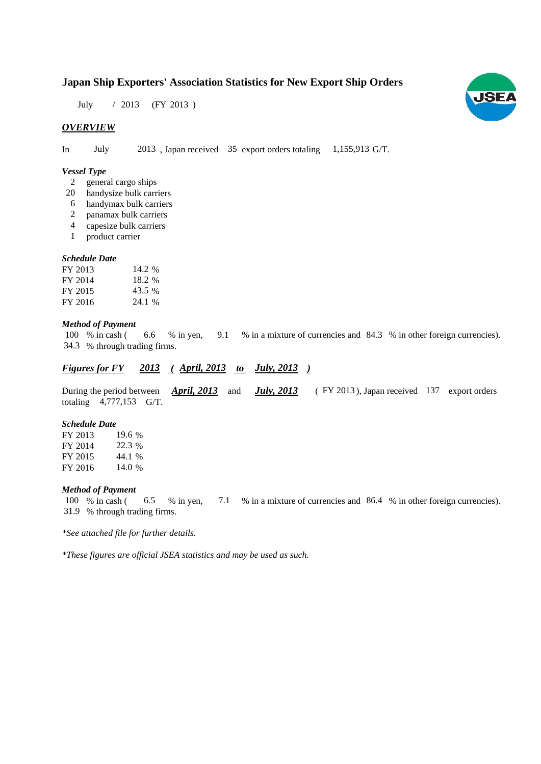# **Japan Ship Exporters' Association Statistics for New Export Ship Orders**

July / 2013 (FY 2013)

# *OVERVIEW*

In July 2013, Japan received 35 export orders totaling 1,155,913 G/T.

### *Vessel Type*

- general cargo ships 2
- handysize bulk carriers 20
- handymax bulk carriers 6
- panamax bulk carriers 2
- capesize bulk carriers 4
- product carrier 1

#### *Schedule Date*

| FY 2013 | 14.2 % |
|---------|--------|
| FY 2014 | 18.2 % |
| FY 2015 | 43.5 % |
| FY 2016 | 24.1 % |

#### *Method of Payment*

% in cash ( 6.6 % in yen, 9.1 % in a mixture of currencies and 84.3 % in other foreign currencies). % through trading firms. 34.36.6 % in yen, 9.1 100 % in cash (

# *Figures for FY* 2013 (April, 2013 *to July, 2013*)

During the period between **April, 2013** and **July, 2013** (FY 2013), Japan received 137 export orders totaling  $4,777,153$  G/T. *April, 2013* and *July, 2013* 

#### *Schedule Date*

FY 2013 FY 2014 FY 2015 FY 2016 14.0 % 19.6 22.3 % 44.1 %

## *Method of Payment*

100 % in cash (6.5 % in yen, 7.1 % in a mixture of currencies and 86.4 % in other foreign currencies). % through trading firms. 31.9

*\*See attached file for further details.*

*\*These figures are official JSEA statistics and may be used as such.*

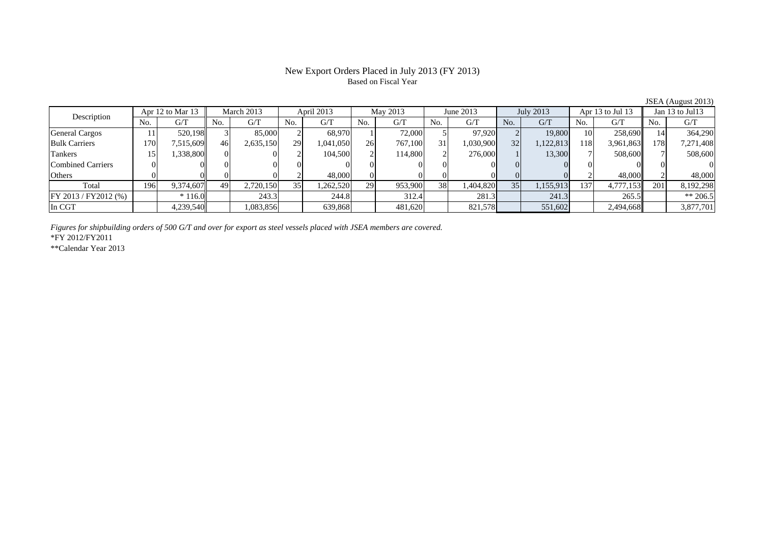# Based on Fiscal Year

**JSEA** (August 2013)<br>**Jan 13 to Jul13** No. G/T No. G/T No. G/T No. G/T No. G/T No. G/T No. G/T No. G/T $\mathrm{G}/\mathrm{T}$ General Cargos ( | 11 | 520,198 | 3 | 85,000 2 | 68,970 1 | 72,000 5 97,920 2 19,800 10 258,690 14 364,290 Bulk Carriers 170 7,515,609 46 2,635,150 29 1,041,050 26 767,100 31 1,030,900 32 1,122,813 118 3,961,863 178 7,271,408 Tankers | 15| 1,338,800|| 0| 0| 2| 104,500| 2| 114,800| 2| 276,000| 1| 13,300| 7| 508,600|| 7| 508,600 Combined Carriers 0 0 0 0 0 0 0 0 0 0 0 0 0 0 0 0Others | 0| 0| 0| 2| 48,000| 0| 0| 0| 0| 0| 0| 2| 48,000 2| 48,000 Total 196 9,374,607 49 2,720,150 35 1,262,520 29 953,900 38 1,404,820 35 1,155,913 137 4,777,153 201 8,192,298 FY 2013 / FY2012 (%)  $\begin{vmatrix} * & 116.0 \end{vmatrix}$  243.3  $\begin{vmatrix} 244.8 \end{vmatrix}$  312.4 281.3 241.3 241.3 265.5  $\begin{vmatrix} * & 265.5 \end{vmatrix}$ In CGT | | 4,239,540| | 1,083,856| | 639,868| | 481,620| | 821,578| | 551,602| | 2,494,668|| | 3,877,701 Apr 12 to Mar 13 March 2013 April 2013 May 2013 Jan 13 to Jul13 Description June 2013 **July 2013** Apr 13 to Jul 13

*Figures for shipbuilding orders of 500 G/T and over for export as steel vessels placed with JSEA members are covered.*

\*FY 2012/FY2011

\*\*Calendar Year 2013

# New Export Orders Placed in July 2013 (FY 2013)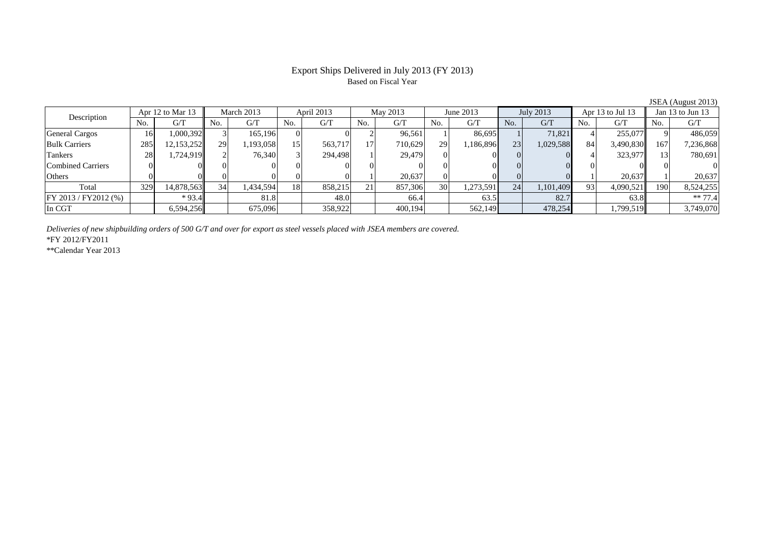## Export Ships Delivered in July 2013 (FY 2013) Based on Fiscal Year

No. G/T No. G/T No. G/T No. G/T No. G/T No. G/T No. G/T No. G/T $G/T$ General Cargos ( 16 1,000,392 3 165,196 0 0 0 2 96,561 1 86,695 1 71,821 4 255,077 9 486,059 Bulk Carriers | 285 12,153,252 29 1,193,058 15 563,717 17 710,629 29 1,186,896 23 1,029,588 84 3,490,830 167 7,236,868 Tankers 28 1,724,919 2 76,340 3 294,498 1 29,479 0 0 0 0 4 323,977 13 780,691 Combined Carriers 0 0 0 0 0 0 0 0 0 0 0 0 0 0 0 0Others 0 0 0 0 0 0 1 20,637 0 0 0 0 1 20,637 1 20,637 Total 329 14,878,563 34 1,434,594 18 858,215 21 857,306 30 1,273,591 24 1,101,409 93 4,090,521 190 8,524,255 FY 2013 / FY2012 (%) \* 93.4 81.8 48.0 66.4 63.5 82.7 63.8 \*\* 77.4 In CGT | | 6,594,256|| | 675,096| | 358,922| | 400,194| | 562,149| | 478,254| | 1,799,519|| | 3,749,070 Apr 12 to Mar 13 March 2013 April 2013 May 2013 June 2013 July 2013 Apr 13 to Jul 13 Jan 13 to Jun 13 Description

*Deliveries of new shipbuilding orders of 500 G/T and over for export as steel vessels placed with JSEA members are covered.*

\*FY 2012/FY2011

\*\*Calendar Year 2013

JSEA (August 2013)